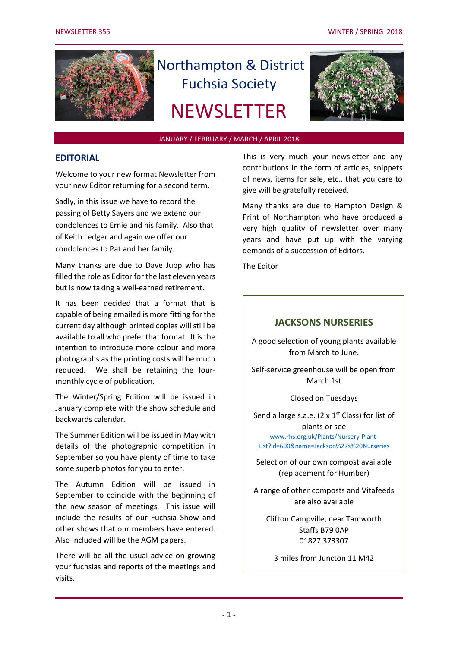

# Northampton & District Fuchsia Society

## **NEWSLETTER**



#### JANUARY / FEBRUARY / MARCH / APRIL 2018

### **EDITORIAL**

Welcome to your new format Newsletter from your new Editor returning for a second term.

Sadly, in this issue we have to record the passing of Betty Sayers and we extend our condolences to Ernie and his family. Also that of Keith Ledger and again we offer our condolences to Pat and her family.

Many thanks are due to Dave Jupp who has filled the role as Editor for the last eleven years but is now taking a well-earned retirement.

It has been decided that a format that is capable of being emailed is more fitting for the current day although printed copies will still be available to all who prefer that format. It is the intention to introduce more colour and more photographs as the printing costs will be much reduced. We shall be retaining the fourmonthly cycle of publication.

The Winter/Spring Edition will be issued in January complete with the show schedule and backwards calendar.

The Summer Edition will be issued in May with details of the photographic competition in September so you have plenty of time to take some superb photos for you to enter.

The Autumn Edition will be issued in September to coincide with the beginning of the new season of meetings. This issue will include the results of our Fuchsia Show and other shows that our members have entered. Also included will be the AGM papers.

There will be all the usual advice on growing your fuchsias and reports of the meetings and visits.

This is very much your newsletter and any contributions in the form of articles, snippets of news, items for sale, etc., that you care to give will be gratefully received.

Many thanks are due to Hampton Design & Print of Northampton who have produced a very high quality of newsletter over many years and have put up with the varying demands of a succession of Editors.

The Editor

## **JACKSONS NURSERIES**

A good selection of young plants available from March to June.

Self-service greenhouse will be open from March 1st

Closed on Tuesdays

Send a large s.a.e. (2  $\times$  1<sup>st</sup> Class) for list of plants or see [www.rhs.org.uk/Plants/Nursery-Plant-](file:///C:/Users/Peter/Documents/NDFS/www.rhs.org.uk/Plants/Nursery-Plant-List%3fid=600&name=Jackson)

[List?id=600&name=Jackson%27s%20Nurseries](file:///C:/Users/Peter/Documents/NDFS/www.rhs.org.uk/Plants/Nursery-Plant-List%3fid=600&name=Jackson)

Selection of our own compost available (replacement for Humber)

A range of other composts and Vitafeeds are also available

Clifton Campville, near Tamworth Staffs B79 0AP 01827 373307

3 miles from Juncton 11 M42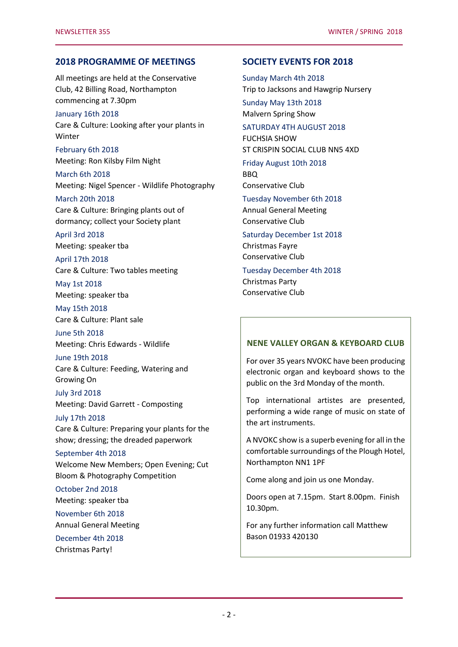### **2018 PROGRAMME OF MEETINGS**

All meetings are held at the Conservative Club, 42 Billing Road, Northampton commencing at 7.30pm

#### January 16th 2018

Care & Culture: Looking after your plants in Winter

February 6th 2018 Meeting: Ron Kilsby Film Night

March 6th 2018 Meeting: Nigel Spencer - Wildlife Photography

March 20th 2018 Care & Culture: Bringing plants out of dormancy; collect your Society plant

April 3rd 2018 Meeting: speaker tba

April 17th 2018 Care & Culture: Two tables meeting

May 1st 2018 Meeting: speaker tba

May 15th 2018 Care & Culture: Plant sale

June 5th 2018 Meeting: Chris Edwards - Wildlife

June 19th 2018

Care & Culture: Feeding, Watering and Growing On

July 3rd 2018 Meeting: David Garrett - Composting

July 17th 2018 Care & Culture: Preparing your plants for the show; dressing; the dreaded paperwork

#### September 4th 2018

Welcome New Members; Open Evening; Cut Bloom & Photography Competition

October 2nd 2018 Meeting: speaker tba

November 6th 2018 Annual General Meeting

December 4th 2018 Christmas Party!

#### **SOCIETY EVENTS FOR 2018**

Sunday March 4th 2018 Trip to Jacksons and Hawgrip Nursery Sunday May 13th 2018 Malvern Spring Show

## SATURDAY 4TH AUGUST 2018

FUCHSIA SHOW ST CRISPIN SOCIAL CLUB NN5 4XD

Friday August 10th 2018 BBQ

Conservative Club

Tuesday November 6th 2018 Annual General Meeting Conservative Club

Saturday December 1st 2018 Christmas Fayre Conservative Club

Tuesday December 4th 2018 Christmas Party Conservative Club

## **NENE VALLEY ORGAN & KEYBOARD CLUB**

For over 35 years NVOKC have been producing electronic organ and keyboard shows to the public on the 3rd Monday of the month.

Top international artistes are presented, performing a wide range of music on state of the art instruments.

A NVOKC show is a superb evening for all in the comfortable surroundings of the Plough Hotel, Northampton NN1 1PF

Come along and join us one Monday.

Doors open at 7.15pm. Start 8.00pm. Finish 10.30pm.

For any further information call Matthew Bason 01933 420130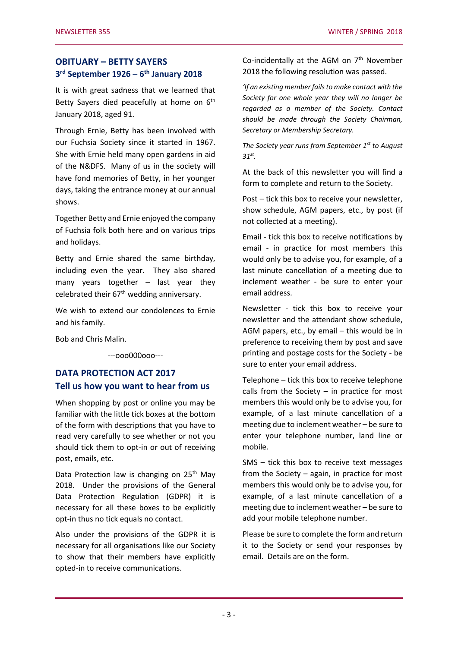## **OBITUARY – BETTY SAYERS 3 rd September 1926 – 6 th January 2018**

It is with great sadness that we learned that Betty Sayers died peacefully at home on 6<sup>th</sup> January 2018, aged 91.

Through Ernie, Betty has been involved with our Fuchsia Society since it started in 1967. She with Ernie held many open gardens in aid of the N&DFS. Many of us in the society will have fond memories of Betty, in her younger days, taking the entrance money at our annual shows.

Together Betty and Ernie enjoyed the company of Fuchsia folk both here and on various trips and holidays.

Betty and Ernie shared the same birthday, including even the year. They also shared many years together  $-$  last year they celebrated their  $67<sup>th</sup>$  wedding anniversary.

We wish to extend our condolences to Ernie and his family.

Bob and Chris Malin.

---ooo000ooo---

## **DATA PROTECTION ACT 2017 Tell us how you want to hear from us**

When shopping by post or online you may be familiar with the little tick boxes at the bottom of the form with descriptions that you have to read very carefully to see whether or not you should tick them to opt-in or out of receiving post, emails, etc.

Data Protection law is changing on 25<sup>th</sup> May 2018. Under the provisions of the General Data Protection Regulation (GDPR) it is necessary for all these boxes to be explicitly opt-in thus no tick equals no contact.

Also under the provisions of the GDPR it is necessary for all organisations like our Society to show that their members have explicitly opted-in to receive communications.

Co-incidentally at the AGM on  $7<sup>th</sup>$  November 2018 the following resolution was passed.

*'If an existing member fails to make contact with the Society for one whole year they will no longer be regarded as a member of the Society. Contact should be made through the Society Chairman, Secretary or Membership Secretary.*

*The Society year runs from September 1st to August 31st .*

At the back of this newsletter you will find a form to complete and return to the Society.

Post – tick this box to receive your newsletter, show schedule, AGM papers, etc., by post (if not collected at a meeting).

Email - tick this box to receive notifications by email - in practice for most members this would only be to advise you, for example, of a last minute cancellation of a meeting due to inclement weather - be sure to enter your email address.

Newsletter - tick this box to receive your newsletter and the attendant show schedule, AGM papers, etc., by email – this would be in preference to receiving them by post and save printing and postage costs for the Society - be sure to enter your email address.

Telephone – tick this box to receive telephone calls from the Society  $-$  in practice for most members this would only be to advise you, for example, of a last minute cancellation of a meeting due to inclement weather – be sure to enter your telephone number, land line or mobile.

SMS – tick this box to receive text messages from the Society – again, in practice for most members this would only be to advise you, for example, of a last minute cancellation of a meeting due to inclement weather – be sure to add your mobile telephone number.

Please be sure to complete the form and return it to the Society or send your responses by email. Details are on the form.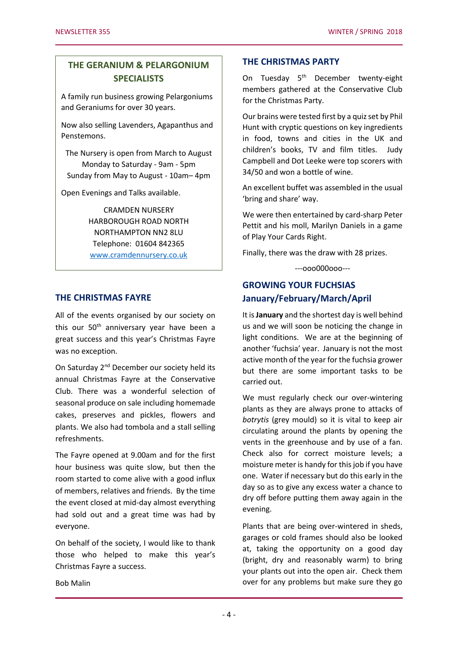## **THE GERANIUM & PELARGONIUM SPECIALISTS**

A family run business growing Pelargoniums and Geraniums for over 30 years.

Now also selling Lavenders, Agapanthus and Penstemons.

The Nursery is open from March to August Monday to Saturday - 9am - 5pm Sunday from May to August - 10am– 4pm

Open Evenings and Talks available.

CRAMDEN NURSERY HARBOROUGH ROAD NORTH NORTHAMPTON NN2 8LU Telephone: 01604 842365 [www.cramdennursery.co.uk](http://www.cramdennursery.co.uk/)

## **THE CHRISTMAS FAYRE**

All of the events organised by our society on this our 50<sup>th</sup> anniversary year have been a great success and this year's Christmas Fayre was no exception.

On Saturday 2<sup>nd</sup> December our society held its annual Christmas Fayre at the Conservative Club. There was a wonderful selection of seasonal produce on sale including homemade cakes, preserves and pickles, flowers and plants. We also had tombola and a stall selling refreshments.

The Fayre opened at 9.00am and for the first hour business was quite slow, but then the room started to come alive with a good influx of members, relatives and friends. By the time the event closed at mid-day almost everything had sold out and a great time was had by everyone.

On behalf of the society, I would like to thank those who helped to make this year's Christmas Fayre a success.

#### **THE CHRISTMAS PARTY**

On Tuesday 5<sup>th</sup> December twenty-eight members gathered at the Conservative Club for the Christmas Party.

Our brains were tested first by a quiz set by Phil Hunt with cryptic questions on key ingredients in food, towns and cities in the UK and children's books, TV and film titles. Judy Campbell and Dot Leeke were top scorers with 34/50 and won a bottle of wine.

An excellent buffet was assembled in the usual 'bring and share' way.

We were then entertained by card-sharp Peter Pettit and his moll, Marilyn Daniels in a game of Play Your Cards Right.

Finally, there was the draw with 28 prizes.

---ooo000ooo---

## **GROWING YOUR FUCHSIAS January/February/March/April**

It is **January** and the shortest day is well behind us and we will soon be noticing the change in light conditions. We are at the beginning of another 'fuchsia' year. January is not the most active month of the year for the fuchsia grower but there are some important tasks to be carried out.

We must regularly check our over-wintering plants as they are always prone to attacks of *botrytis* (grey mould) so it is vital to keep air circulating around the plants by opening the vents in the greenhouse and by use of a fan. Check also for correct moisture levels; a moisture meter is handy for this job if you have one. Water if necessary but do this early in the day so as to give any excess water a chance to dry off before putting them away again in the evening.

Plants that are being over-wintered in sheds, garages or cold frames should also be looked at, taking the opportunity on a good day (bright, dry and reasonably warm) to bring your plants out into the open air. Check them over for any problems but make sure they go

Bob Malin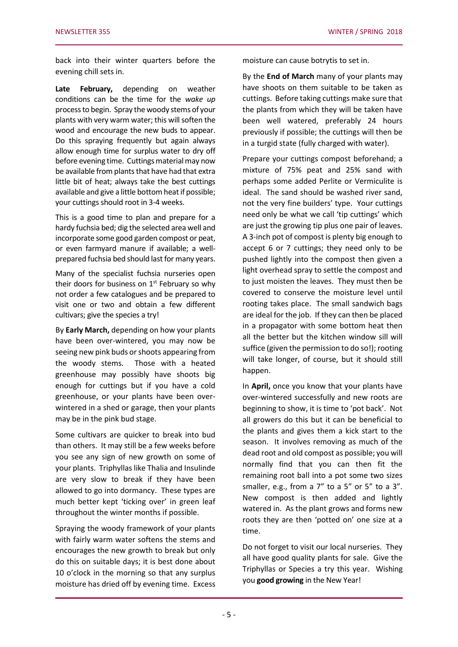back into their winter quarters before the evening chill sets in.

**Late February,** depending on weather conditions can be the time for the *wake up* process to begin. Spray the woody stems of your plants with very warm water; this will soften the wood and encourage the new buds to appear. Do this spraying frequently but again always allow enough time for surplus water to dry off before evening time. Cuttings material may now be available from plants that have had that extra little bit of heat; always take the best cuttings available and give a little bottom heat if possible; your cuttings should root in 3-4 weeks.

This is a good time to plan and prepare for a hardy fuchsia bed; dig the selected area well and incorporate some good garden compost or peat, or even farmyard manure if available; a wellprepared fuchsia bed should last for many years.

Many of the specialist fuchsia nurseries open their doors for business on  $1<sup>st</sup>$  February so why not order a few catalogues and be prepared to visit one or two and obtain a few different cultivars; give the species a try!

By **Early March,** depending on how your plants have been over-wintered, you may now be seeing new pink buds or shoots appearing from the woody stems. Those with a heated greenhouse may possibly have shoots big enough for cuttings but if you have a cold greenhouse, or your plants have been overwintered in a shed or garage, then your plants may be in the pink bud stage.

Some cultivars are quicker to break into bud than others. It may still be a few weeks before you see any sign of new growth on some of your plants. Triphyllas like Thalia and Insulinde are very slow to break if they have been allowed to go into dormancy. These types are much better kept 'ticking over' in green leaf throughout the winter months if possible.

Spraying the woody framework of your plants with fairly warm water softens the stems and encourages the new growth to break but only do this on suitable days; it is best done about 10 o'clock in the morning so that any surplus moisture has dried off by evening time. Excess moisture can cause botrytis to set in.

By the **End of March** many of your plants may have shoots on them suitable to be taken as cuttings. Before taking cuttings make sure that the plants from which they will be taken have been well watered, preferably 24 hours previously if possible; the cuttings will then be in a turgid state (fully charged with water).

Prepare your cuttings compost beforehand; a mixture of 75% peat and 25% sand with perhaps some added Perlite or Vermiculite is ideal. The sand should be washed river sand, not the very fine builders' type. Your cuttings need only be what we call 'tip cuttings' which are just the growing tip plus one pair of leaves. A 3-inch pot of compost is plenty big enough to accept 6 or 7 cuttings; they need only to be pushed lightly into the compost then given a light overhead spray to settle the compost and to just moisten the leaves. They must then be covered to conserve the moisture level until rooting takes place. The small sandwich bags are ideal for the job. If they can then be placed in a propagator with some bottom heat then all the better but the kitchen window sill will suffice (given the permission to do so!); rooting will take longer, of course, but it should still happen.

In **April,** once you know that your plants have over-wintered successfully and new roots are beginning to show, it is time to 'pot back'. Not all growers do this but it can be beneficial to the plants and gives them a kick start to the season. It involves removing as much of the dead root and old compost as possible; you will normally find that you can then fit the remaining root ball into a pot some two sizes smaller, e.g., from a 7" to a 5" or 5" to a 3". New compost is then added and lightly watered in. As the plant grows and forms new roots they are then 'potted on' one size at a time.

Do not forget to visit our local nurseries. They all have good quality plants for sale. Give the Triphyllas or Species a try this year. Wishing you **good growing** in the New Year!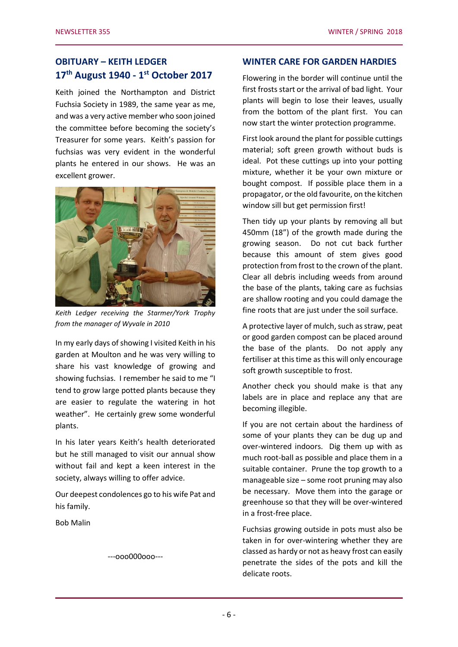## **OBITUARY – KEITH LEDGER 17th August 1940 - 1 st October 2017**

Keith joined the Northampton and District Fuchsia Society in 1989, the same year as me, and was a very active member who soon joined the committee before becoming the society's Treasurer for some years. Keith's passion for fuchsias was very evident in the wonderful plants he entered in our shows. He was an excellent grower.



*Keith Ledger receiving the Starmer/York Trophy from the manager of Wyvale in 2010*

In my early days of showing I visited Keith in his garden at Moulton and he was very willing to share his vast knowledge of growing and showing fuchsias. I remember he said to me "I tend to grow large potted plants because they are easier to regulate the watering in hot weather". He certainly grew some wonderful plants.

In his later years Keith's health deteriorated but he still managed to visit our annual show without fail and kept a keen interest in the society, always willing to offer advice.

Our deepest condolences go to his wife Pat and his family.

Bob Malin

---ooo000ooo---

## **WINTER CARE FOR GARDEN HARDIES**

Flowering in the border will continue until the first frosts start or the arrival of bad light. Your plants will begin to lose their leaves, usually from the bottom of the plant first. You can now start the winter protection programme.

First look around the plant for possible cuttings material; soft green growth without buds is ideal. Pot these cuttings up into your potting mixture, whether it be your own mixture or bought compost. If possible place them in a propagator, or the old favourite, on the kitchen window sill but get permission first!

Then tidy up your plants by removing all but 450mm (18") of the growth made during the growing season. Do not cut back further because this amount of stem gives good protection from frost to the crown of the plant. Clear all debris including weeds from around the base of the plants, taking care as fuchsias are shallow rooting and you could damage the fine roots that are just under the soil surface.

A protective layer of mulch, such as straw, peat or good garden compost can be placed around the base of the plants. Do not apply any fertiliser at this time as this will only encourage soft growth susceptible to frost.

Another check you should make is that any labels are in place and replace any that are becoming illegible.

If you are not certain about the hardiness of some of your plants they can be dug up and over-wintered indoors. Dig them up with as much root-ball as possible and place them in a suitable container. Prune the top growth to a manageable size – some root pruning may also be necessary. Move them into the garage or greenhouse so that they will be over-wintered in a frost-free place.

Fuchsias growing outside in pots must also be taken in for over-wintering whether they are classed as hardy or not as heavy frost can easily penetrate the sides of the pots and kill the delicate roots.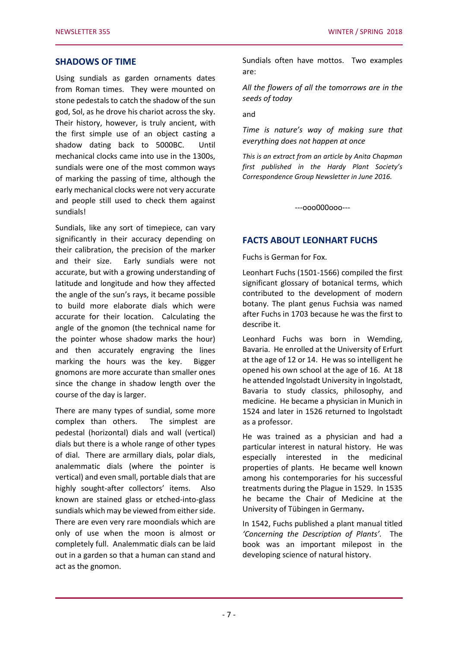#### **SHADOWS OF TIME**

Using sundials as garden ornaments dates from Roman times. They were mounted on stone pedestals to catch the shadow of the sun god, Sol, as he drove his chariot across the sky. Their history, however, is truly ancient, with the first simple use of an object casting a shadow dating back to 5000BC. Until mechanical clocks came into use in the 1300s, sundials were one of the most common ways of marking the passing of time, although the early mechanical clocks were not very accurate and people still used to check them against sundials!

Sundials, like any sort of timepiece, can vary significantly in their accuracy depending on their calibration, the precision of the marker and their size. Early sundials were not accurate, but with a growing understanding of latitude and longitude and how they affected the angle of the sun's rays, it became possible to build more elaborate dials which were accurate for their location. Calculating the angle of the gnomon (the technical name for the pointer whose shadow marks the hour) and then accurately engraving the lines marking the hours was the key. Bigger gnomons are more accurate than smaller ones since the change in shadow length over the course of the day is larger.

There are many types of sundial, some more complex than others. The simplest are pedestal (horizontal) dials and wall (vertical) dials but there is a whole range of other types of dial. There are armillary dials, polar dials, analemmatic dials (where the pointer is vertical) and even small, portable dials that are highly sought-after collectors' items. Also known are stained glass or etched-into-glass sundials which may be viewed from either side. There are even very rare moondials which are only of use when the moon is almost or completely full. Analemmatic dials can be laid out in a garden so that a human can stand and act as the gnomon.

Sundials often have mottos. Two examples are:

*All the flowers of all the tomorrows are in the seeds of today*

and

*Time is nature's way of making sure that everything does not happen at once*

*This is an extract from an article by Anita Chapman first published in the Hardy Plant Society's Correspondence Group Newsletter in June 2016.*

---ooo000ooo---

## **FACTS ABOUT LEONHART FUCHS**

Fuchs is German for Fox.

Leonhart Fuchs (1501-1566) compiled the first significant glossary of botanical terms, which contributed to the development of modern botany. The plant genus Fuchsia was named after Fuchs in 1703 because he was the first to describe it.

Leonhard Fuchs was born in Wemding, Bavaria. He enrolled at the University of Erfurt at the age of 12 or 14. He was so intelligent he opened his own school at the age of 16. At 18 he attended Ingolstadt University in Ingolstadt, Bavaria to study classics, philosophy, and medicine. He became a physician in Munich in 1524 and later in 1526 returned to Ingolstadt as a professor.

He was trained as a physician and had a particular interest in natural history. He was especially interested in the medicinal properties of plants. He became well known among his contemporaries for his successful treatments during the Plague in 1529. In 1535 he became the Chair of Medicine at the University of Tübingen in Germany**.**

In 1542, Fuchs published a plant manual titled *'Concerning the Description of Plants'.* The book was an important milepost in the developing science of natural history.